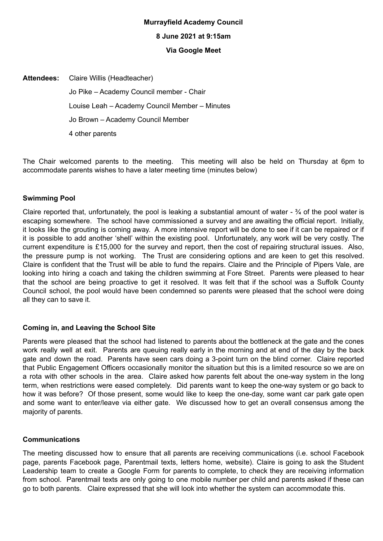# **Murrayfield Academy Council**

#### **8 June 2021 at 9:15am**

#### **Via Google Meet**

**Attendees:** Claire Willis (Headteacher) Jo Pike – Academy Council member - Chair Louise Leah – Academy Council Member – Minutes Jo Brown – Academy Council Member 4 other parents

The Chair welcomed parents to the meeting. This meeting will also be held on Thursday at 6pm to accommodate parents wishes to have a later meeting time (minutes below)

#### **Swimming Pool**

Claire reported that, unfortunately, the pool is leaking a substantial amount of water - ¾ of the pool water is escaping somewhere. The school have commissioned a survey and are awaiting the official report. Initially, it looks like the grouting is coming away. A more intensive report will be done to see if it can be repaired or if it is possible to add another 'shell' within the existing pool. Unfortunately, any work will be very costly. The current expenditure is £15,000 for the survey and report, then the cost of repairing structural issues. Also, the pressure pump is not working. The Trust are considering options and are keen to get this resolved. Claire is confident that the Trust will be able to fund the repairs. Claire and the Principle of Pipers Vale, are looking into hiring a coach and taking the children swimming at Fore Street. Parents were pleased to hear that the school are being proactive to get it resolved. It was felt that if the school was a Suffolk County Council school, the pool would have been condemned so parents were pleased that the school were doing all they can to save it.

#### **Coming in, and Leaving the School Site**

Parents were pleased that the school had listened to parents about the bottleneck at the gate and the cones work really well at exit. Parents are queuing really early in the morning and at end of the day by the back gate and down the road. Parents have seen cars doing a 3-point turn on the blind corner. Claire reported that Public Engagement Officers occasionally monitor the situation but this is a limited resource so we are on a rota with other schools in the area. Claire asked how parents felt about the one-way system in the long term, when restrictions were eased completely. Did parents want to keep the one-way system or go back to how it was before? Of those present, some would like to keep the one-day, some want car park gate open and some want to enter/leave via either gate. We discussed how to get an overall consensus among the majority of parents.

### **Communications**

The meeting discussed how to ensure that all parents are receiving communications (i.e. school Facebook page, parents Facebook page, Parentmail texts, letters home, website). Claire is going to ask the Student Leadership team to create a Google Form for parents to complete, to check they are receiving information from school. Parentmail texts are only going to one mobile number per child and parents asked if these can go to both parents. Claire expressed that she will look into whether the system can accommodate this.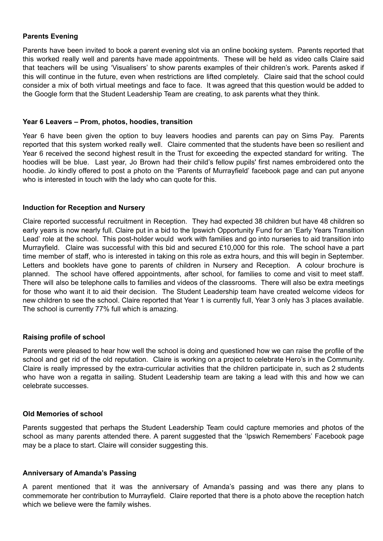#### **Parents Evening**

Parents have been invited to book a parent evening slot via an online booking system. Parents reported that this worked really well and parents have made appointments. These will be held as video calls Claire said that teachers will be using 'Visualisers' to show parents examples of their children's work. Parents asked if this will continue in the future, even when restrictions are lifted completely. Claire said that the school could consider a mix of both virtual meetings and face to face. It was agreed that this question would be added to the Google form that the Student Leadership Team are creating, to ask parents what they think.

#### **Year 6 Leavers – Prom, photos, hoodies, transition**

Year 6 have been given the option to buy leavers hoodies and parents can pay on Sims Pay. Parents reported that this system worked really well. Claire commented that the students have been so resilient and Year 6 received the second highest result in the Trust for exceeding the expected standard for writing. The hoodies will be blue. Last year, Jo Brown had their child's fellow pupils' first names embroidered onto the hoodie. Jo kindly offered to post a photo on the 'Parents of Murrayfield' facebook page and can put anyone who is interested in touch with the lady who can quote for this.

#### **Induction for Reception and Nursery**

Claire reported successful recruitment in Reception. They had expected 38 children but have 48 children so early years is now nearly full. Claire put in a bid to the Ipswich Opportunity Fund for an 'Early Years Transition Lead' role at the school. This post-holder would work with families and go into nurseries to aid transition into Murrayfield. Claire was successful with this bid and secured £10,000 for this role. The school have a part time member of staff, who is interested in taking on this role as extra hours, and this will begin in September. Letters and booklets have gone to parents of children in Nursery and Reception. A colour brochure is planned. The school have offered appointments, after school, for families to come and visit to meet staff. There will also be telephone calls to families and videos of the classrooms. There will also be extra meetings for those who want it to aid their decision. The Student Leadership team have created welcome videos for new children to see the school. Claire reported that Year 1 is currently full, Year 3 only has 3 places available. The school is currently 77% full which is amazing.

#### **Raising profile of school**

Parents were pleased to hear how well the school is doing and questioned how we can raise the profile of the school and get rid of the old reputation. Claire is working on a project to celebrate Hero's in the Community. Claire is really impressed by the extra-curricular activities that the children participate in, such as 2 students who have won a regatta in sailing. Student Leadership team are taking a lead with this and how we can celebrate successes.

#### **Old Memories of school**

Parents suggested that perhaps the Student Leadership Team could capture memories and photos of the school as many parents attended there. A parent suggested that the 'Ipswich Remembers' Facebook page may be a place to start. Claire will consider suggesting this.

#### **Anniversary of Amanda's Passing**

A parent mentioned that it was the anniversary of Amanda's passing and was there any plans to commemorate her contribution to Murrayfield. Claire reported that there is a photo above the reception hatch which we believe were the family wishes.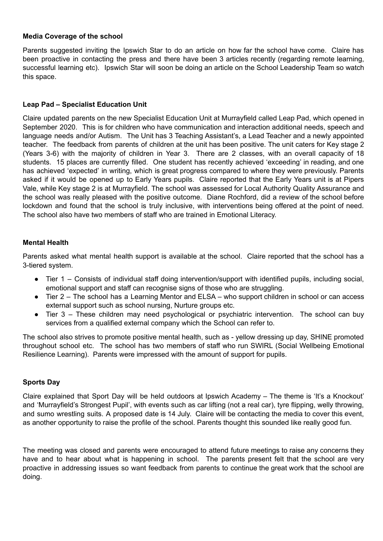#### **Media Coverage of the school**

Parents suggested inviting the Ipswich Star to do an article on how far the school have come. Claire has been proactive in contacting the press and there have been 3 articles recently (regarding remote learning, successful learning etc). Ipswich Star will soon be doing an article on the School Leadership Team so watch this space.

### **Leap Pad – Specialist Education Unit**

Claire updated parents on the new Specialist Education Unit at Murrayfield called Leap Pad, which opened in September 2020. This is for children who have communication and interaction additional needs, speech and language needs and/or Autism. The Unit has 3 Teaching Assistant's, a Lead Teacher and a newly appointed teacher. The feedback from parents of children at the unit has been positive. The unit caters for Key stage 2 (Years 3-6) with the majority of children in Year 3. There are 2 classes, with an overall capacity of 18 students. 15 places are currently filled. One student has recently achieved 'exceeding' in reading, and one has achieved 'expected' in writing, which is great progress compared to where they were previously. Parents asked if it would be opened up to Early Years pupils. Claire reported that the Early Years unit is at Pipers Vale, while Key stage 2 is at Murrayfield. The school was assessed for Local Authority Quality Assurance and the school was really pleased with the positive outcome. Diane Rochford, did a review of the school before lockdown and found that the school is truly inclusive, with interventions being offered at the point of need. The school also have two members of staff who are trained in Emotional Literacy.

## **Mental Health**

Parents asked what mental health support is available at the school. Claire reported that the school has a 3-tiered system.

- Tier 1 Consists of individual staff doing intervention/support with identified pupils, including social, emotional support and staff can recognise signs of those who are struggling.
- Tier 2 The school has a Learning Mentor and ELSA who support children in school or can access external support such as school nursing, Nurture groups etc.
- Tier 3 These children may need psychological or psychiatric intervention. The school can buy services from a qualified external company which the School can refer to.

The school also strives to promote positive mental health, such as - yellow dressing up day, SHINE promoted throughout school etc. The school has two members of staff who run SWIRL (Social Wellbeing Emotional Resilience Learning). Parents were impressed with the amount of support for pupils.

#### **Sports Day**

Claire explained that Sport Day will be held outdoors at Ipswich Academy – The theme is 'It's a Knockout' and 'Murrayfield's Strongest Pupil', with events such as car lifting (not a real car), tyre flipping, welly throwing, and sumo wrestling suits. A proposed date is 14 July. Claire will be contacting the media to cover this event, as another opportunity to raise the profile of the school. Parents thought this sounded like really good fun.

The meeting was closed and parents were encouraged to attend future meetings to raise any concerns they have and to hear about what is happening in school. The parents present felt that the school are very proactive in addressing issues so want feedback from parents to continue the great work that the school are doing.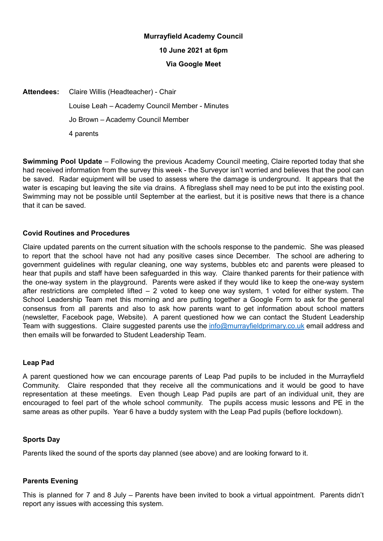# **Murrayfield Academy Council 10 June 2021 at 6pm Via Google Meet**

**Attendees:** Claire Willis (Headteacher) - Chair Louise Leah – Academy Council Member - Minutes Jo Brown – Academy Council Member 4 parents

**Swimming Pool Update** – Following the previous Academy Council meeting, Claire reported today that she had received information from the survey this week - the Surveyor isn't worried and believes that the pool can be saved. Radar equipment will be used to assess where the damage is underground. It appears that the water is escaping but leaving the site via drains. A fibreglass shell may need to be put into the existing pool. Swimming may not be possible until September at the earliest, but it is positive news that there is a chance that it can be saved.

## **Covid Routines and Procedures**

Claire updated parents on the current situation with the schools response to the pandemic. She was pleased to report that the school have not had any positive cases since December. The school are adhering to government guidelines with regular cleaning, one way systems, bubbles etc and parents were pleased to hear that pupils and staff have been safeguarded in this way. Claire thanked parents for their patience with the one-way system in the playground. Parents were asked if they would like to keep the one-way system after restrictions are completed lifted – 2 voted to keep one way system, 1 voted for either system. The School Leadership Team met this morning and are putting together a Google Form to ask for the general consensus from all parents and also to ask how parents want to get information about school matters (newsletter, Facebook page, Website). A parent questioned how we can contact the Student Leadership Team with suggestions. Claire suggested parents use the **[info@murrayfieldprimary.co.uk](mailto:info@murrayfieldprimary.co.uk)** email address and then emails will be forwarded to Student Leadership Team.

#### **Leap Pad**

A parent questioned how we can encourage parents of Leap Pad pupils to be included in the Murrayfield Community. Claire responded that they receive all the communications and it would be good to have representation at these meetings. Even though Leap Pad pupils are part of an individual unit, they are encouraged to feel part of the whole school community. The pupils access music lessons and PE in the same areas as other pupils. Year 6 have a buddy system with the Leap Pad pupils (beflore lockdown).

#### **Sports Day**

Parents liked the sound of the sports day planned (see above) and are looking forward to it.

#### **Parents Evening**

This is planned for 7 and 8 July – Parents have been invited to book a virtual appointment. Parents didn't report any issues with accessing this system.